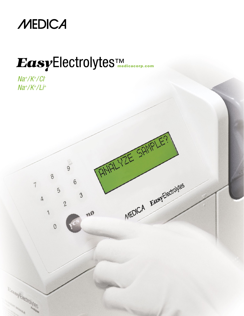

# Electrolytes medicacorp.com

 $\overline{9}$ 

 $6\phantom{a}$ 

 $\mathfrak{B}$ 

no

8

 $\overline{5}$ 

 $\theta$ 

 $\overline{c}$ 

7

**CARL AND MARKETINGS** 

 $\Delta$ 

MEDICA EASYEISONNES

 $Na^+/K^+/C$  $Na^+/K^+/Li^+$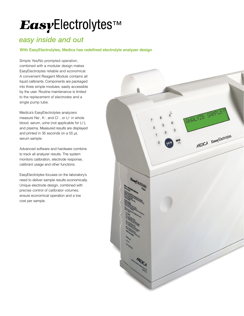# EasyElectrolytes™

## *easy inside and out*

## **With EasyElectrolytes, Medica has redefined electrolyte analyzer design**

Simple Yes/No prompted operation, combined with a modular design makes EasyElectrolytes reliable and economical. A convenient Reagent Module contains all liquid calibrants. Components are packaged into three simple modules, easily accessible by the user. Routine maintenance is limited to the replacement of electrodes and a single pump tube.

Medica's EasyElectrolytes analyzers measure Na<sup>+</sup>, K<sup>+</sup>, and Cl <sup>-</sup>, or Li<sup>+</sup> in whole blood, serum, urine (not applicable for Li+ ), and plasma. Measured results are displayed and printed in 35 seconds on a 55 μL serum sample.

Advanced software and hardware combine to track all analyzer results. The system monitors calibration, electrode response, calibrant usage and other functions.

EasyElectrolytes focuses on the laboratory's need to deliver sample results economically. Unique electrode design, combined with precise control of calibrator volumes, ensure economical operation and a low cost per sample.

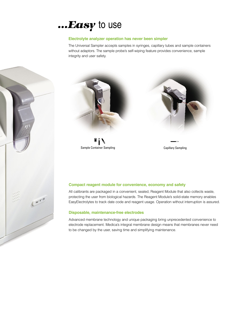## *...Easy* to use

## **Electrolyte analyzer operation has never been simpler**

**Similar Simple Yes and with a touch of the key set of the key set of the key set of the key set of the key set of the key set of the key set of the key set of the key set of the key set of the key set of the key set of th** The Universal Sampler accepts samples in syringes, capillary tubes and sample containers without adaptors. The sample probe's self-wiping feature provides convenience, sample



Sample Container Sampling Capillary Sampling Capillary Sampling

### **Compact reagent module for convenience, economy and safety**

o boild oldio in EasyElectrolytes to track date code and reagent usage. Operation without interruption is assured. All calibrants are packaged in a convenient, sealed, Reagent Module that also collects waste, protecting the user from biological hazards. The Reagent Module's solid-state memory enables

### **Disposable, maintenance-free electrodes**

for convenience, economy and safety<br>a convenient, sealed, Reagent Module that also collects waste,<br>ical hazards. The Reagent Module's solid-state memory enables<br>code and reagent usage. Operation without interruption is ass Advanced membrane technology and unique packaging bring unprecedented convenience to electrode replacement. Medica's integral membrane design means that membranes never need to be changed by the user, saving time and simplifying maintenance.

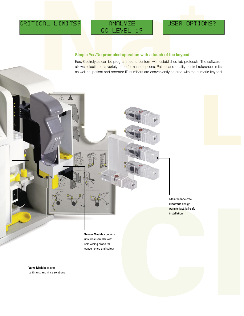$\sqrt{1}$ 

## **Simple Yes/No prompted operation with a touch of the keypad**

CAL LIMITS?<br>
QC LEVEL 1?<br>
Simple Yes/No prompted operation with a touch of the keypad<br>
EasyElectrolytes can be programmed to conform with a stabilished lab protocols. The s<br>
allows selection of a variety of performance opt EasyElectrolytes can be programmed to conform with established lab protocols. The software allows selection of a variety of performance options. Patient and quality control reference limits, as well as, patient and operator ID numbers are conveniently entered with the numeric keypad.

> **Sensor Module** contains universal sampler with self-wiping probe for  $\mathsf{convergence}$  and safety  $\mathsf{S}^{\mathsf{S}}$

**Valve Module** selects calibrants and rinse solutions Maintenance-free<br>
Electrode design<br>
premits fest, rail-safe<br>
installation<br>
and the safe of the safe of the safe<br>
installation Maintenance-free **Electrode** design permits fast, fail-safe installation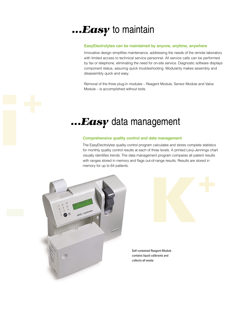## *...Easy* to maintain

### **EasyElectrolytes can be maintained by anyone, anytime, anywhere**

Innovative design simplifies maintenance, addressing the needs of the remote laboratory with limited access to technical service personnel. All service calls can be performed by fax or telephone, eliminating the need for on-site service. Diagnostic software displays component status, assuring quick troubleshooting. Modularity makes assembly and disassembly quick and easy.

Removal of the three plug-in modules – Reagent Module, Sensor Module and Valve Module – is accomplished without tools.

## *...Easy* data management

### **Comprehensive quality control and data management**

The EasyElectrolytes quality control program calculates and stores complete statistics for monthly quality control results at each of three levels. A printed Levy-Jennings chart visually identifies trends. The data management program compares all patient results with ranges stored in memory and flags out-of-range results. Results are stored in memory for up to 64 patients.



contains liquid calibrants and collects all waste